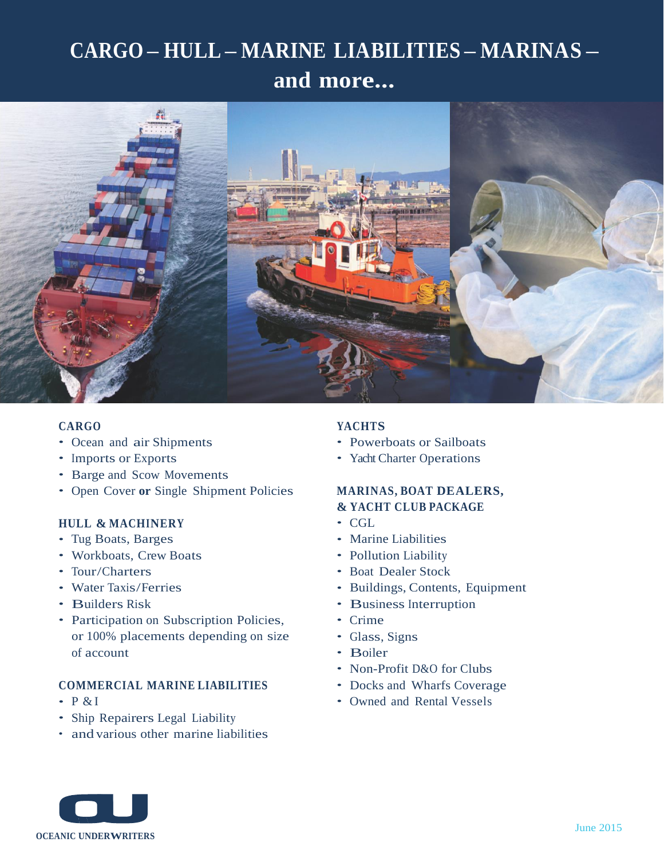# **CARGO – HULL – MARINE LIABILITIES – MARINAS – and more...**



## **CARGO**

- Ocean and air Shipments
- Imports or Exports
- Barge and Scow Movements
- Open Cover **or** Single Shipment Policies

#### **HULL & MACHINERY**

- Tug Boats, Barges
- Workboats, Crew Boats
- Tour/Charters
- Water Taxis/Ferries
- Builders Risk
- Participation on Subscription Policies, or 100% placements depending on size of account

#### **COMMERCIAL MARINE LIABILITIES**

- P &I
- Ship Repairers Legal Liability
- and various other marine liabilities

### **YACHTS**

- Powerboats or Sailboats
- Yacht Charter Operations

#### **MARINAS, BOAT DEALERS, & YACHT CLUB PACKAGE**

- CGL
- Marine Liabilities
- Pollution Liability
- Boat Dealer Stock
- Buildings, Contents, Equipment
- Business Interruption
- Crime
- Glass, Signs
- Boiler
- Non-Profit D&O for Clubs
- Docks and Wharfs Coverage
- Owned and Rental Vessels